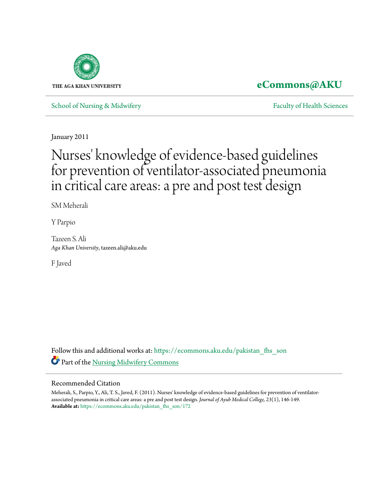

# **[eCommons@AKU](https://ecommons.aku.edu?utm_source=ecommons.aku.edu%2Fpakistan_fhs_son%2F172&utm_medium=PDF&utm_campaign=PDFCoverPages)**

[School of Nursing & Midwifery](https://ecommons.aku.edu/pakistan_fhs_son?utm_source=ecommons.aku.edu%2Fpakistan_fhs_son%2F172&utm_medium=PDF&utm_campaign=PDFCoverPages) **[Faculty of Health Sciences](https://ecommons.aku.edu/pakistan_fhs?utm_source=ecommons.aku.edu%2Fpakistan_fhs_son%2F172&utm_medium=PDF&utm_campaign=PDFCoverPages)** Faculty of Health Sciences

January 2011

# Nurses' knowledge of evidence-based guidelines for prevention of ventilator-associated pneumonia in critical care areas: a pre and post test design

SM Meherali

Y Parpio

Tazeen S. Ali *Aga Khan University*, tazeen.ali@aku.edu

F Javed

Follow this and additional works at: [https://ecommons.aku.edu/pakistan\\_fhs\\_son](https://ecommons.aku.edu/pakistan_fhs_son?utm_source=ecommons.aku.edu%2Fpakistan_fhs_son%2F172&utm_medium=PDF&utm_campaign=PDFCoverPages) Part of the [Nursing Midwifery Commons](http://network.bepress.com/hgg/discipline/722?utm_source=ecommons.aku.edu%2Fpakistan_fhs_son%2F172&utm_medium=PDF&utm_campaign=PDFCoverPages)

#### Recommended Citation

Meherali, S., Parpio, Y., Ali, T. S., Javed, F. (2011). Nurses' knowledge of evidence-based guidelines for prevention of ventilatorassociated pneumonia in critical care areas: a pre and post test design. *Journal of Ayub Medical College, 23*(1), 146-149. **Available at:** [https://ecommons.aku.edu/pakistan\\_fhs\\_son/172](https://ecommons.aku.edu/pakistan_fhs_son/172)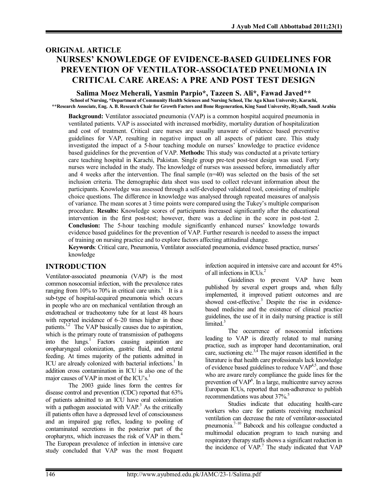# **ORIGINAL ARTICLE NURSES' KNOWLEDGE OF EVIDENCE-BASED GUIDELINES FOR PREVENTION OF VENTILATOR-ASSOCIATED PNEUMONIA IN CRITICAL CARE AREAS: A PRE AND POST TEST DESIGN**

**Salima Moez Meherali, Yasmin Parpio\*, Tazeen S. Ali\*, Fawad Javed\*\* School of Nursing, \*Department of Community Health Sciences and Nursing School, The Aga Khan University, Karachi, \*\*Research Associate, Eng. A. B. Research Chair for Growth Factors and Bone Regeneration, King Saud University, Riyadh, Saudi Arabia**

**Background:** Ventilator associated pneumonia (VAP) is a common hospital acquired pneumonia in ventilated patients. VAP is associated with increased morbidity, mortality duration of hospitalization and cost of treatment. Critical care nurses are usually unaware of evidence based preventive guidelines for VAP, resulting in negative impact on all aspects of patient care. This study investigated the impact of a 5-hour teaching module on nurses' knowledge to practice evidence based guidelines for the prevention of VAP. **Methods:** This study was conducted at a private tertiary care teaching hospital in Karachi, Pakistan. Single group pre-test post-test design was used. Forty nurses were included in the study. The knowledge of nurses was assessed before, immediately after and 4 weeks after the intervention. The final sample  $(n=40)$  was selected on the basis of the set inclusion criteria. The demographic data sheet was used to collect relevant information about the participants. Knowledge was assessed through a self-developed validated tool, consisting of multiple choice questions. The difference in knowledge was analysed through repeated measures of analysis of variance. The mean scores at 3 time points were compared using the Tukey's multiple comparison procedure. **Results:** Knowledge scores of participants increased significantly after the educational intervention in the first post-test; however, there was a decline in the score in post-test 2. **Conclusion:** The 5-hour teaching module significantly enhanced nurses' knowledge towards evidence based guidelines for the prevention of VAP. Further research is needed to assess the impact of training on nursing practice and to explore factors affecting attitudinal change.

**Keywords**: Critical care, Pneumonia, Ventilator associated pneumonia, evidence based practice, nurses' knowledge

# **INTRODUCTION**

Ventilator-associated pneumonia (VAP) is the most common nosocomial infection, with the prevalence rates ranging from 10% to 70% in critical care units.<sup>1</sup> It is a sub-type of hospital-acquired pneumonia which occurs in people who are on mechanical ventilation through an endotracheal or tracheotomy tube for at least 48 hours with reported incidence of 6–20 times higher in these patients.<sup>1,2</sup> The VAP basically causes due to aspiration, which is the primary route of transmission of pathogens into the lungs. 1 Factors causing aspiration are oropharyngeal colonization, gastric fluid, and enteral feeding. At times majority of the patients admitted in ICU are already colonized with bacterial infections.<sup>1</sup> In addition cross contamination in ICU is also one of the major causes of VAP in most of the  $ICU's<sup>1</sup>$ .

The 2003 guide lines form the centres for disease control and prevention (CDC) reported that 63% of patients admitted to an ICU have oral colonization with a pathogen associated with VAP.<sup>3</sup> As the critically ill patients often have a depressed level of consciousness and an impaired gag reflex, leading to pooling of contaminated secretions in the posterior part of the oropharynx, which increases the risk of VAP in them. 4 The European prevalence of infection in intensive care study concluded that VAP was the most frequent

infection acquired in intensive care and account for 45% of all infections in ICUs. 2

Guidelines to prevent VAP have been published by several expert groups and, when fully implemented, it improved patient outcomes and are showed cost-effective.<sup>3</sup> Despite the rise in evidencebased medicine and the existence of clinical practice guidelines, the use of it in daily nursing practice is still limited.<sup>3</sup>

The occurrence of nosocomial infections leading to VAP is directly related to mal nursing practice, such as improper hand decontamination, oral care, suctioning etc.<sup>3,4</sup> The major reason identified in the literature is that health care professionals lack knowledge of evidence based guidelines to reduce VAP<sup>4,5</sup>, and those who are aware rarely compliance the guide lines for the prevention of VAP<sup>6</sup>. In a large, multicentre survey across European ICUs, reported that non-adherence to publish recommendations was about 37%.<sup>5</sup>

Studies indicate that educating health-care workers who care for patients receiving mechanical ventilation can decrease the rate of ventilator-associated pneumonia. 7–10 Babcock and his colleague conducted a multimodal education program to teach nursing and respiratory therapy staffs shows a significant reduction in the incidence of VAP. 7 The study indicated that VAP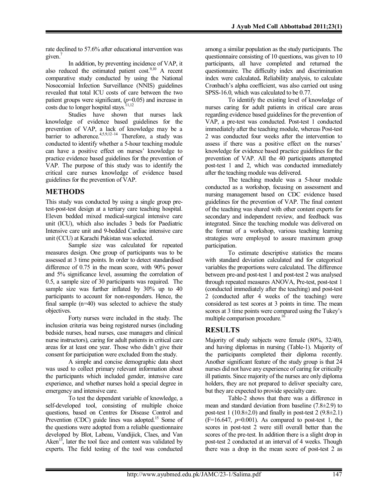rate declined to 57.6% after educational intervention was given.<sup>7</sup>

In addition, by preventing incidence of VAP, it also reduced the estimated patient cost.<sup>9,10</sup> A recent comparative study conducted by using the National Nosocomial Infection Surveillance (NNIS) guidelines revealed that total ICU costs of care between the two patient groups were significant, (*p*=0.05) and increase in costs due to longer hospital stays.<sup>11,12</sup>

Studies have shown that nurses lack knowledge of evidence based guidelines for the prevention of VAP, a lack of knowledge may be a barrier to adherence.<sup>4,5,9,12-14</sup> Therefore, a study was conducted to identify whether a 5-hour teaching module can have a positive effect on nurses' knowledge to practice evidence based guidelines for the prevention of VAP. The purpose of this study was to identify the critical care nurses knowledge of evidence based guidelines for the prevention of VAP.

# **METHODS**

This study was conducted by using a single group pretest-post-test design at a tertiary care teaching hospital. Eleven bedded mixed medical-surgical intensive care unit (ICU), which also includes 3 beds for Paediatric Intensive care unit and 9-bedded Cardiac intensive care unit (CCU) at Karachi Pakistan was selected.

Sample size was calculated for repeated measures design. One group of participants was to be assessed at 3 time points. In order to detect standardised difference of 0.75 in the mean score, with 90% power and 5% significance level, assuming the correlation of 0.5, a sample size of 30 participants was required. The sample size was further inflated by 30% up to 40 participants to account for non-responders. Hence, the final sample (n=40) was selected to achieve the study objectives.

Forty nurses were included in the study. The inclusion criteria was being registered nurses (including bedside nurses, head nurses, case managers and clinical nurse instructors), caring for adult patients in critical care areas for at least one year. Those who didn't give their consent for participation were excluded from the study.

A simple and concise demographic data sheet was used to collect primary relevant information about the participants which included gender, intensive care experience, and whether nurses hold a special degree in emergency and intensive care.

To test the dependent variable of knowledge, a self-developed tool, consisting of multiple choice questions, based on Centres for Disease Control and Prevention (CDC) guide lines was adopted.<sup>15</sup> Some of the questions were adopted from a reliable questionnaire developed by Blot, Labeau, Vandijick, Claes, and Van Aken $\frac{13}{15}$ , later the tool face and content was validated by experts. The field testing of the tool was conducted

among a similar population as the study participants. The questionnaire consisting of 10 questions, was given to 10 participants, all have completed and returned the questionnaire. The difficulty index and discrimination index were calculated**.** Reliability analysis, to calculate Cronbach's alpha coefficient, was also carried out using SPSS-16.0, which was calculated to be 0.77.

To identify the existing level of knowledge of nurses caring for adult patients in critical care areas regarding evidence based guidelines for the prevention of VAP, a pre-test was conducted. Post-test 1 conducted immediately after the teaching module, whereas Post-test 2 was conducted four weeks after the intervention to assess if there was a positive effect on the nurses' knowledge for evidence based practice guidelines for the prevention of VAP. All the 40 participants attempted post-test 1 and 2, which was conducted immediately after the teaching module was delivered.

The teaching module was a 5-hour module conducted as a workshop, focusing on assessment and nursing management based on CDC evidence based guidelines for the prevention of VAP. The final content of the teaching was shared with other content experts for secondary and independent review, and feedback was integrated. Since the teaching module was delivered on the format of a workshop, various teaching learning strategies were employed to assure maximum group participation.

To estimate descriptive statistics the means with standard deviation calculated and for categorical variables the proportions were calculated. The difference between pre-and post-test 1 and post-test 2 was analysed through repeated measures ANOVA, Pre-test, post-test 1 (conducted immediately after the teaching) and post-test 2 (conducted after 4 weeks of the teaching) were considered as test scores at 3 points in time. The mean scores at 3 time points were compared using the Tukey's multiple comparison procedure.<sup>16</sup>

# **RESULTS**

Majority of study subjects were female (80%, 32/40), and having diplomas in nursing (Table-1). Majority of the participants completed their diploma recently. Another significant feature of the study group is that 24 nurses did not have any experience of caring for critically ill patients. Since majority of the nurses are only diploma holders, they are not prepared to deliver specialty care, but they are expected to provide specialty care.

Table-2 shows that there was a difference in mean and standard deviation from baseline (7.8±2.9) to post-test 1 (10.8 $\pm$ 2.0) and finally in post-test 2 (9.8 $\pm$ 2.1)  $(F=16.647, p=0.001)$ . As compared to post-test 1, the scores in post-test 2 were still overall better than the scores of the pre-test. In addition there is a slight drop in post-test 2 conducted at an interval of 4 weeks. Though there was a drop in the mean score of post-test 2 as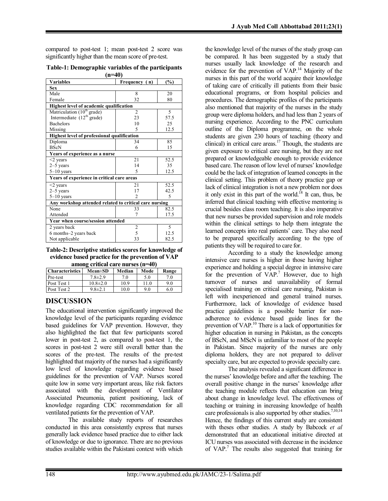compared to post-test 1; mean post-test 2 score was significantly higher than the mean score of pre-test.

**Table-1: Demographic variables of the participants (n=40)**

| <b>Variables</b>                                       | Frequency (n)  | (%)            |  |  |  |
|--------------------------------------------------------|----------------|----------------|--|--|--|
| <b>Sex</b>                                             |                |                |  |  |  |
| Male                                                   | 8              | 20             |  |  |  |
| Female                                                 | 32             | 80             |  |  |  |
| Highest level of academic qualification                |                |                |  |  |  |
| Matriculation (10 <sup>th</sup> grade)                 | $\overline{2}$ | 5              |  |  |  |
| Intermediate $(12th \text{ grade})$                    | 23             | 57.5           |  |  |  |
| <b>Bachelors</b>                                       | 10             | 25             |  |  |  |
| Missing                                                | 5              | 12.5           |  |  |  |
| <b>Highest level of professional qualification</b>     |                |                |  |  |  |
| Diploma                                                | 34             | 85             |  |  |  |
| <b>BScN</b>                                            | 6              | 15             |  |  |  |
| Years of experience as a nurse                         |                |                |  |  |  |
| $\leq$ years                                           | 21             | 52.5           |  |  |  |
| $2-5$ years                                            | 14             | 35             |  |  |  |
| $5-10$ years                                           | 5              | 12.5           |  |  |  |
| Years of experience in critical care areas             |                |                |  |  |  |
| $\leq$ years                                           | 21             | 52.5           |  |  |  |
| $2-5$ years                                            | 17             | 42.5           |  |  |  |
| $5-10$ years                                           | $\mathfrak{D}$ | $\overline{5}$ |  |  |  |
| Any workshop attended related to critical care nursing |                |                |  |  |  |
| None                                                   | 33             | 82.5           |  |  |  |
| Attended                                               | 7              | 17.5           |  |  |  |
| Year when course/session attended                      |                |                |  |  |  |
| 2 years back                                           | $\overline{2}$ | 5              |  |  |  |
| 6 months–2 years back                                  | 5              | 12.5           |  |  |  |
| Not applicable                                         | 33             | 82.5           |  |  |  |

**Table-2: Descriptive statistics scores for knowledge of evidence based practice for the prevention of VAP among critical care nurses (n=40)**

| alliong chuical care nul ses $(1 - 40)$ |                |        |      |       |  |
|-----------------------------------------|----------------|--------|------|-------|--|
| <b>Characteristics</b>                  | $Mean \pm SD$  | Median | Mode | Range |  |
| Pre-test                                | $7.8 \pm 2.9$  | 7.0    | 5.0  | 7.0   |  |
| Post Test 1                             | $10.8 \pm 2.0$ | 10.9   | 11.0 | 9.0   |  |
| Post Test 2                             | $9.8 \pm 2.1$  | 10.0   | 9.0  | 6.0   |  |

# **DISCUSSION**

The educational intervention significantly improved the knowledge level of the participants regarding evidence based guidelines for VAP prevention. However, they also highlighted the fact that few participants scored lower in post-test 2, as compared to post-test 1, the scores in post-test 2 were still overall better than the scores of the pre-test. The results of the pre-test highlighted that majority of the nurses had a significantly low level of knowledge regarding evidence based guidelines for the prevention of VAP. Nurses scored quite low in some very important areas, like risk factors associated with the development of Ventilator Associated Pneumonia, patient positioning, lack of knowledge regarding CDC recommendation for all ventilated patients for the prevention of VAP.

The available study reports of researches conducted in this area consistently express that nurses generally lack evidence based practice due to either lack of knowledge or due to ignorance. There are no previous studies available within the Pakistani context with which

the knowledge level of the nurses of the study group can be compared. It has been suggested by a study that nurses usually lack knowledge of the research and evidence for the prevention of VAP.<sup>14</sup> Majority of the nurses in this part of the world acquire their knowledge of taking care of critically ill patients from their basic educational programs, or from hospital policies and procedures. The demographic profiles of the participants also mentioned that majority of the nurses in the study group were diploma holders, and had less than 2 years of nursing experience. According to the PNC curriculum outline of the Diploma programme, on the whole students are given 230 hours of teaching (theory and clinical) in critical care areas. <sup>17</sup> Though, the students are given exposure to critical care nursing, but they are not prepared or knowledgeable enough to provide evidence based care. The reason of low level of nurses' knowledge could be the lack of integration of learned concepts in the clinical setting. This problem of theory practice gap or lack of clinical integration is not a new problem nor does it only exist in this part of the world.<sup>18</sup> It can, thus, be inferred that clinical teaching with effective mentoring is crucial besides class room teaching. It is also imperative that new nurses be provided supervision and role models within the clinical settings to help them integrate the learned concepts into real patients' care. They also need to be prepared specifically according to the type of patients they will be required to care for.

According to a study the knowledge among intensive care nurses is higher in those having higher experience and holding a special degree in intensive care for the prevention of VAP.<sup>7</sup> However, due to high turnover of nurses and unavailability of formal specialised training on critical care nursing, Pakistan is left with inexperienced and general trained nurses. Furthermore, lack of knowledge of evidence based practice guidelines is a possible barrier for nonadherence to evidence based guide lines for the prevention of VAP.<sup>10</sup> There is a lack of opportunities for higher education in nursing in Pakistan, as the concepts of BScN, and MScN is unfamiliar to most of the people in Pakistan. Since majority of the nurses are only diploma holders, they are not prepared to deliver specialty care, but are expected to provide specialty care.

The analysis revealed a significant difference in the nurses' knowledge before and after the teaching. The overall positive change in the nurses' knowledge after the teaching module reflects that education can bring about change in knowledge level. The effectiveness of teaching or training in increasing knowledge of health care professionals is also supported by other studies.<sup>7,10,14</sup> Hence, the findings of this current study are consistent with theses other studies. A study by Babcock *et al* demonstrated that an educational initiative directed at ICU nurses was associated with decrease in the incidence of VAP. 7 The results also suggested that training for